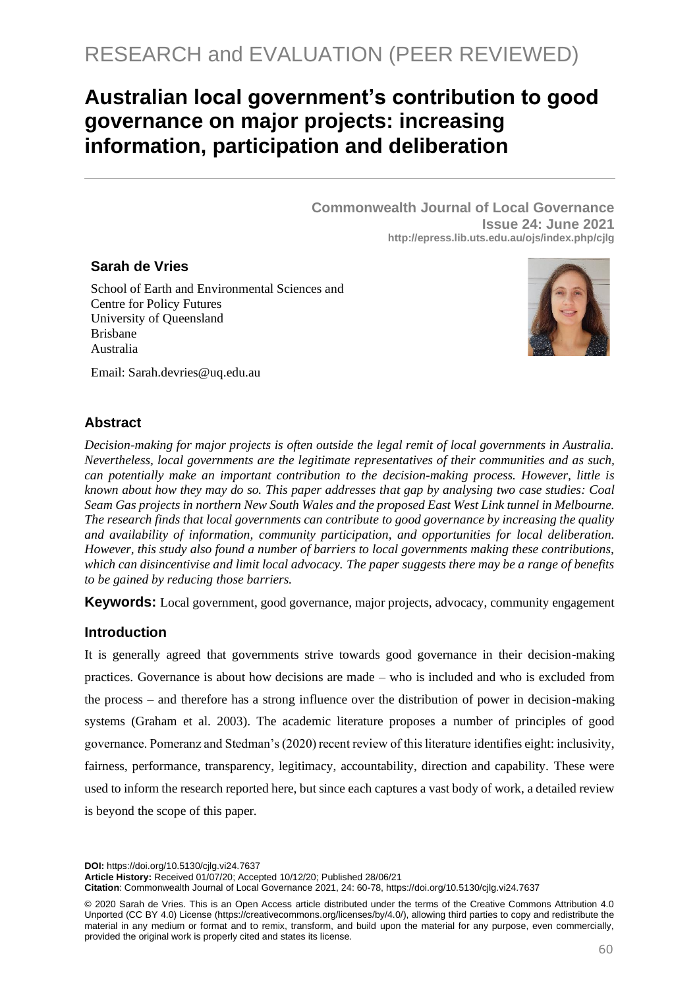# RESEARCH and EVALUATION (PEER REVIEWED)

## **Australian local government's contribution to good governance on major projects: increasing information, participation and deliberation**

**Commonwealth Journal of Local Governance Issue 24: June 2021 http://epress.lib.uts.edu.au/ojs/index.php/cjlg**

#### **Sarah de Vries**

School of Earth and Environmental Sciences and Centre for Policy Futures University of Queensland Brisbane Australia



Email: [Sarah.devries@uq.edu.au](mailto:Sarah.devries@uq.edu.au)

## **Abstract**

*Decision-making for major projects is often outside the legal remit of local governments in Australia. Nevertheless, local governments are the legitimate representatives of their communities and as such, can potentially make an important contribution to the decision-making process. However, little is known about how they may do so. This paper addresses that gap by analysing two case studies: Coal Seam Gas projects in northern New South Wales and the proposed East West Link tunnel in Melbourne. The research finds that local governments can contribute to good governance by increasing the quality and availability of information, community participation, and opportunities for local deliberation. However, this study also found a number of barriers to local governments making these contributions, which can disincentivise and limit local advocacy. The paper suggests there may be a range of benefits to be gained by reducing those barriers.*

**Keywords:** Local government, good governance, major projects, advocacy, community engagement

### **Introduction**

It is generally agreed that governments strive towards good governance in their decision-making practices. Governance is about how decisions are made – who is included and who is excluded from the process – and therefore has a strong influence over the distribution of power in decision-making systems (Graham et al. 2003). The academic literature proposes a number of principles of good governance. Pomeranz and Stedman's (2020) recent review of this literature identifies eight: inclusivity, fairness, performance, transparency, legitimacy, accountability, direction and capability. These were used to inform the research reported here, but since each captures a vast body of work, a detailed review is beyond the scope of this paper.

**DOI:** https://doi.org/10.5130/cjlg.vi24.7637

**Article History:** Received 01/07/20; Accepted 10/12/20; Published 28/06/21

**Citation**: Commonwealth Journal of Local Governance 2021, 24: 60-78, https://doi.org/10.5130/cjlg.vi24.7637

© 2020 Sarah de Vries. This is an Open Access article distributed under the terms of the Creative Commons Attribution 4.0 Unported (CC BY 4.0) License [\(https://creativecommons.org/licenses/by/4.0/\)](https://creativecommons.org/licenses/by/4.0/), allowing third parties to copy and redistribute the material in any medium or format and to remix, transform, and build upon the material for any purpose, even commercially, provided the original work is properly cited and states its license.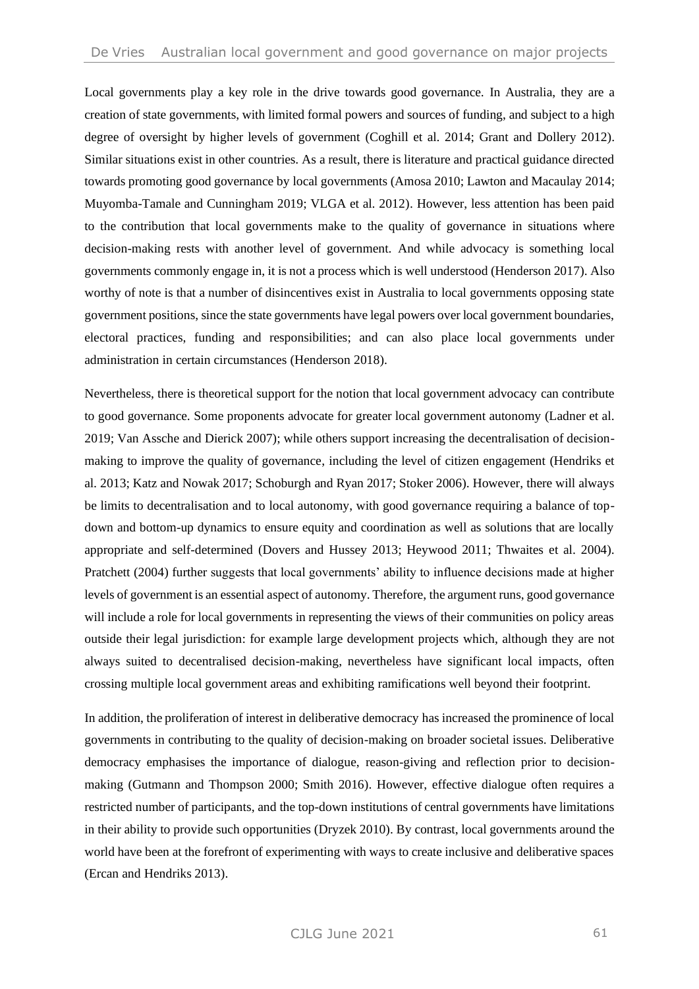Local governments play a key role in the drive towards good governance. In Australia, they are a creation of state governments, with limited formal powers and sources of funding, and subject to a high degree of oversight by higher levels of government (Coghill et al. 2014; Grant and Dollery 2012). Similar situations exist in other countries. As a result, there is literature and practical guidance directed towards promoting good governance by local governments (Amosa 2010; Lawton and Macaulay 2014; Muyomba-Tamale and Cunningham 2019; VLGA et al. 2012). However, less attention has been paid to the contribution that local governments make to the quality of governance in situations where decision-making rests with another level of government. And while advocacy is something local governments commonly engage in, it is not a process which is well understood (Henderson 2017). Also worthy of note is that a number of disincentives exist in Australia to local governments opposing state government positions, since the state governments have legal powers over local government boundaries, electoral practices, funding and responsibilities; and can also place local governments under administration in certain circumstances (Henderson 2018).

Nevertheless, there is theoretical support for the notion that local government advocacy can contribute to good governance. Some proponents advocate for greater local government autonomy (Ladner et al. 2019; Van Assche and Dierick 2007); while others support increasing the decentralisation of decisionmaking to improve the quality of governance, including the level of citizen engagement (Hendriks et al. 2013; Katz and Nowak 2017; Schoburgh and Ryan 2017; Stoker 2006). However, there will always be limits to decentralisation and to local autonomy, with good governance requiring a balance of topdown and bottom-up dynamics to ensure equity and coordination as well as solutions that are locally appropriate and self-determined (Dovers and Hussey 2013; Heywood 2011; Thwaites et al. 2004). Pratchett (2004) further suggests that local governments' ability to influence decisions made at higher levels of government is an essential aspect of autonomy. Therefore, the argument runs, good governance will include a role for local governments in representing the views of their communities on policy areas outside their legal jurisdiction: for example large development projects which, although they are not always suited to decentralised decision-making, nevertheless have significant local impacts, often crossing multiple local government areas and exhibiting ramifications well beyond their footprint.

In addition, the proliferation of interest in deliberative democracy has increased the prominence of local governments in contributing to the quality of decision-making on broader societal issues. Deliberative democracy emphasises the importance of dialogue, reason-giving and reflection prior to decisionmaking (Gutmann and Thompson 2000; Smith 2016). However, effective dialogue often requires a restricted number of participants, and the top-down institutions of central governments have limitations in their ability to provide such opportunities (Dryzek 2010). By contrast, local governments around the world have been at the forefront of experimenting with ways to create inclusive and deliberative spaces (Ercan and Hendriks 2013).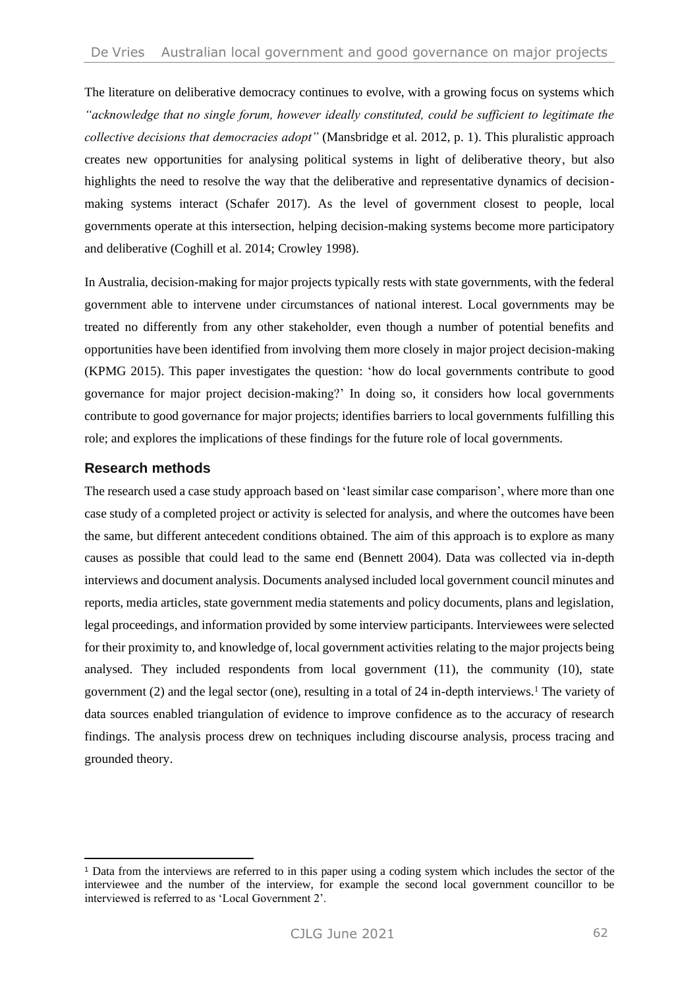The literature on deliberative democracy continues to evolve, with a growing focus on systems which *"acknowledge that no single forum, however ideally constituted, could be sufficient to legitimate the collective decisions that democracies adopt"* (Mansbridge et al. 2012, p. 1). This pluralistic approach creates new opportunities for analysing political systems in light of deliberative theory, but also highlights the need to resolve the way that the deliberative and representative dynamics of decisionmaking systems interact (Schafer 2017). As the level of government closest to people, local governments operate at this intersection, helping decision-making systems become more participatory and deliberative (Coghill et al. 2014; Crowley 1998).

In Australia, decision-making for major projects typically rests with state governments, with the federal government able to intervene under circumstances of national interest. Local governments may be treated no differently from any other stakeholder, even though a number of potential benefits and opportunities have been identified from involving them more closely in major project decision-making (KPMG 2015). This paper investigates the question: 'how do local governments contribute to good governance for major project decision-making?' In doing so, it considers how local governments contribute to good governance for major projects; identifies barriers to local governments fulfilling this role; and explores the implications of these findings for the future role of local governments.

#### **Research methods**

The research used a case study approach based on 'least similar case comparison', where more than one case study of a completed project or activity is selected for analysis, and where the outcomes have been the same, but different antecedent conditions obtained. The aim of this approach is to explore as many causes as possible that could lead to the same end (Bennett 2004). Data was collected via in-depth interviews and document analysis. Documents analysed included local government council minutes and reports, media articles, state government media statements and policy documents, plans and legislation, legal proceedings, and information provided by some interview participants. Interviewees were selected for their proximity to, and knowledge of, local government activities relating to the major projects being analysed. They included respondents from local government (11), the community (10), state government (2) and the legal sector (one), resulting in a total of 24 in-depth interviews.<sup>1</sup> The variety of data sources enabled triangulation of evidence to improve confidence as to the accuracy of research findings. The analysis process drew on techniques including discourse analysis, process tracing and grounded theory.

<sup>1</sup> Data from the interviews are referred to in this paper using a coding system which includes the sector of the interviewee and the number of the interview, for example the second local government councillor to be interviewed is referred to as 'Local Government 2'.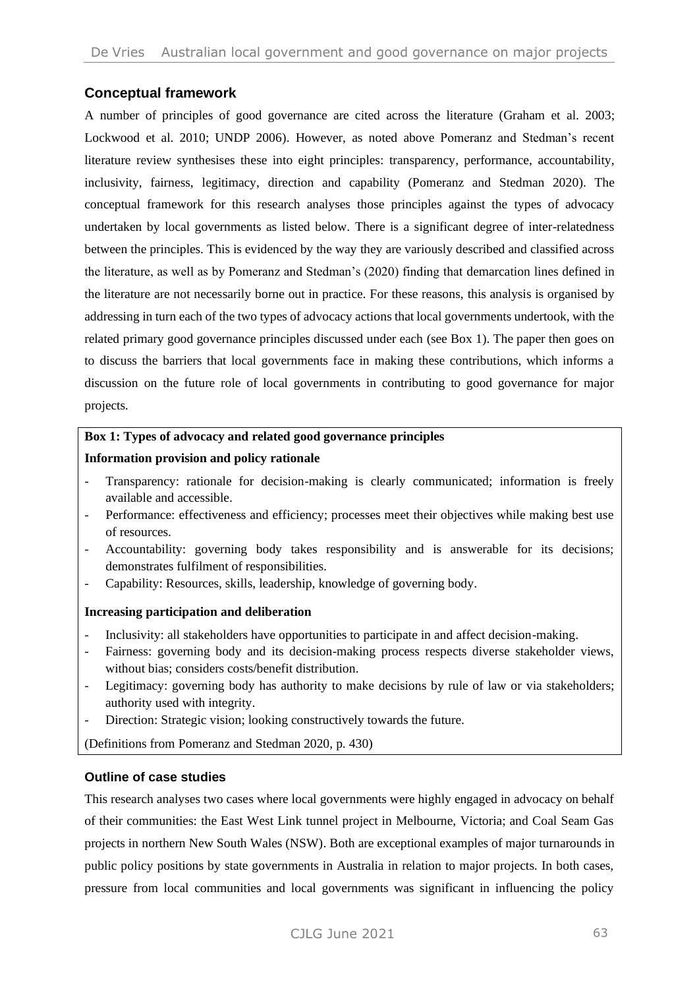#### **Conceptual framework**

A number of principles of good governance are cited across the literature (Graham et al. 2003; Lockwood et al. 2010; UNDP 2006). However, as noted above Pomeranz and Stedman's recent literature review synthesises these into eight principles: transparency, performance, accountability, inclusivity, fairness, legitimacy, direction and capability (Pomeranz and Stedman 2020). The conceptual framework for this research analyses those principles against the types of advocacy undertaken by local governments as listed below. There is a significant degree of inter-relatedness between the principles. This is evidenced by the way they are variously described and classified across the literature, as well as by Pomeranz and Stedman's (2020) finding that demarcation lines defined in the literature are not necessarily borne out in practice. For these reasons, this analysis is organised by addressing in turn each of the two types of advocacy actions that local governments undertook, with the related primary good governance principles discussed under each (see Box 1). The paper then goes on to discuss the barriers that local governments face in making these contributions, which informs a discussion on the future role of local governments in contributing to good governance for major projects.

## **Box 1: Types of advocacy and related good governance principles**

#### **Information provision and policy rationale**

- Transparency: rationale for decision-making is clearly communicated; information is freely available and accessible.
- Performance: effectiveness and efficiency; processes meet their objectives while making best use of resources.
- Accountability: governing body takes responsibility and is answerable for its decisions; demonstrates fulfilment of responsibilities.
- Capability: Resources, skills, leadership, knowledge of governing body.

#### **Increasing participation and deliberation**

- Inclusivity: all stakeholders have opportunities to participate in and affect decision-making.
- Fairness: governing body and its decision-making process respects diverse stakeholder views, without bias; considers costs/benefit distribution.
- Legitimacy: governing body has authority to make decisions by rule of law or via stakeholders; authority used with integrity.
- Direction: Strategic vision; looking constructively towards the future.

(Definitions from Pomeranz and Stedman 2020, p. 430)

#### **Outline of case studies**

This research analyses two cases where local governments were highly engaged in advocacy on behalf of their communities: the East West Link tunnel project in Melbourne, Victoria; and Coal Seam Gas projects in northern New South Wales (NSW). Both are exceptional examples of major turnarounds in public policy positions by state governments in Australia in relation to major projects. In both cases, pressure from local communities and local governments was significant in influencing the policy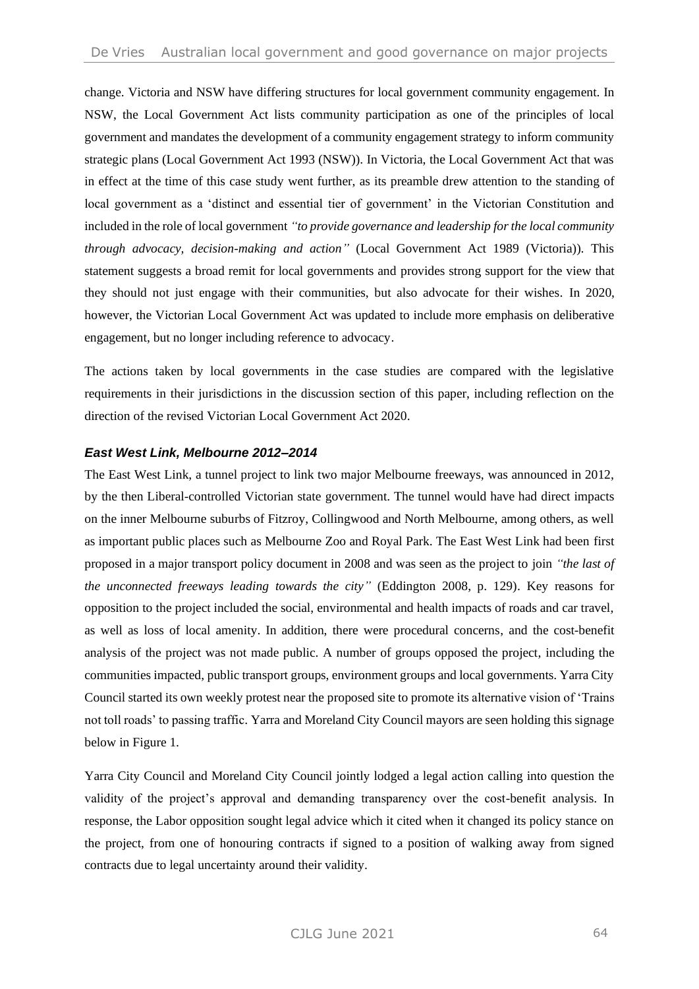change. Victoria and NSW have differing structures for local government community engagement. In NSW, the Local Government Act lists community participation as one of the principles of local government and mandates the development of a community engagement strategy to inform community strategic plans (Local Government Act 1993 (NSW)). In Victoria, the Local Government Act that was in effect at the time of this case study went further, as its preamble drew attention to the standing of local government as a 'distinct and essential tier of government' in the Victorian Constitution and included in the role of local government *"to provide governance and leadership for the local community through advocacy, decision-making and action"* (Local Government Act 1989 (Victoria)). This statement suggests a broad remit for local governments and provides strong support for the view that they should not just engage with their communities, but also advocate for their wishes. In 2020, however, the Victorian Local Government Act was updated to include more emphasis on deliberative engagement, but no longer including reference to advocacy.

The actions taken by local governments in the case studies are compared with the legislative requirements in their jurisdictions in the discussion section of this paper, including reflection on the direction of the revised Victorian Local Government Act 2020.

#### *East West Link, Melbourne 2012–2014*

The East West Link, a tunnel project to link two major Melbourne freeways, was announced in 2012, by the then Liberal-controlled Victorian state government. The tunnel would have had direct impacts on the inner Melbourne suburbs of Fitzroy, Collingwood and North Melbourne, among others, as well as important public places such as Melbourne Zoo and Royal Park. The East West Link had been first proposed in a major transport policy document in 2008 and was seen as the project to join *"the last of the unconnected freeways leading towards the city"* (Eddington 2008, p. 129). Key reasons for opposition to the project included the social, environmental and health impacts of roads and car travel, as well as loss of local amenity. In addition, there were procedural concerns, and the cost-benefit analysis of the project was not made public. A number of groups opposed the project, including the communities impacted, public transport groups, environment groups and local governments. Yarra City Council started its own weekly protest near the proposed site to promote its alternative vision of 'Trains not toll roads' to passing traffic. Yarra and Moreland City Council mayors are seen holding this signage below in Figure 1.

Yarra City Council and Moreland City Council jointly lodged a legal action calling into question the validity of the project's approval and demanding transparency over the cost-benefit analysis. In response, the Labor opposition sought legal advice which it cited when it changed its policy stance on the project, from one of honouring contracts if signed to a position of walking away from signed contracts due to legal uncertainty around their validity.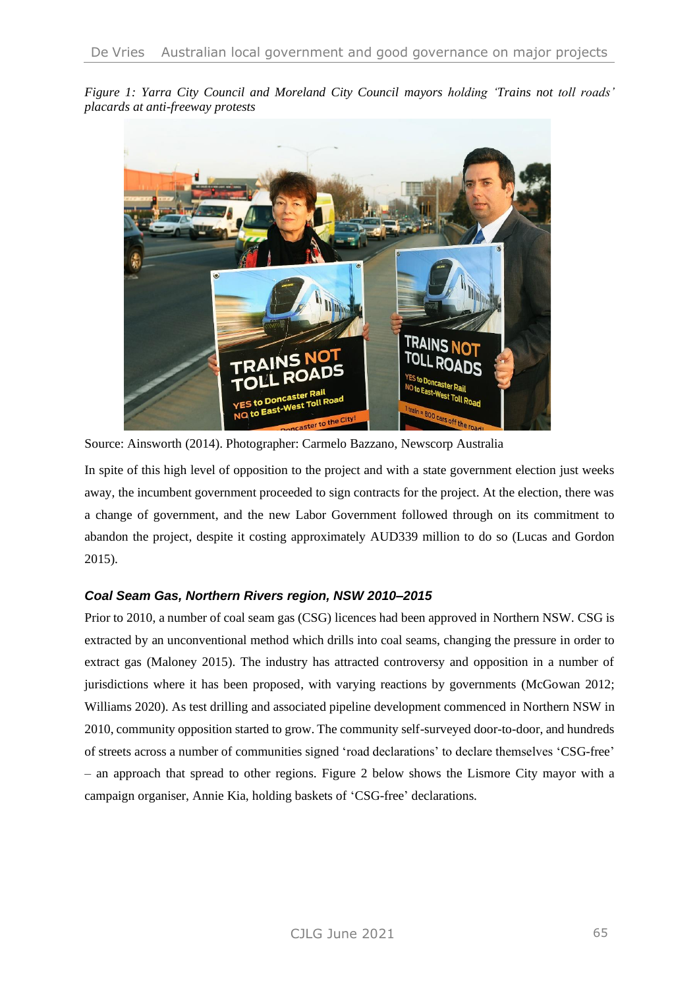*Figure 1: Yarra City Council and Moreland City Council mayors holding 'Trains not toll roads' placards at anti-freeway protests*



Source: Ainsworth (2014). Photographer: Carmelo Bazzano, Newscorp Australia

In spite of this high level of opposition to the project and with a state government election just weeks away, the incumbent government proceeded to sign contracts for the project. At the election, there was a change of government, and the new Labor Government followed through on its commitment to abandon the project, despite it costing approximately AUD339 million to do so (Lucas and Gordon 2015).

### *Coal Seam Gas, Northern Rivers region, NSW 2010–2015*

Prior to 2010, a number of coal seam gas (CSG) licences had been approved in Northern NSW. CSG is extracted by an unconventional method which drills into coal seams, changing the pressure in order to extract gas (Maloney 2015). The industry has attracted controversy and opposition in a number of jurisdictions where it has been proposed, with varying reactions by governments (McGowan 2012; Williams 2020). As test drilling and associated pipeline development commenced in Northern NSW in 2010, community opposition started to grow. The community self-surveyed door-to-door, and hundreds of streets across a number of communities signed 'road declarations' to declare themselves 'CSG-free' – an approach that spread to other regions. Figure 2 below shows the Lismore City mayor with a campaign organiser, Annie Kia, holding baskets of 'CSG-free' declarations.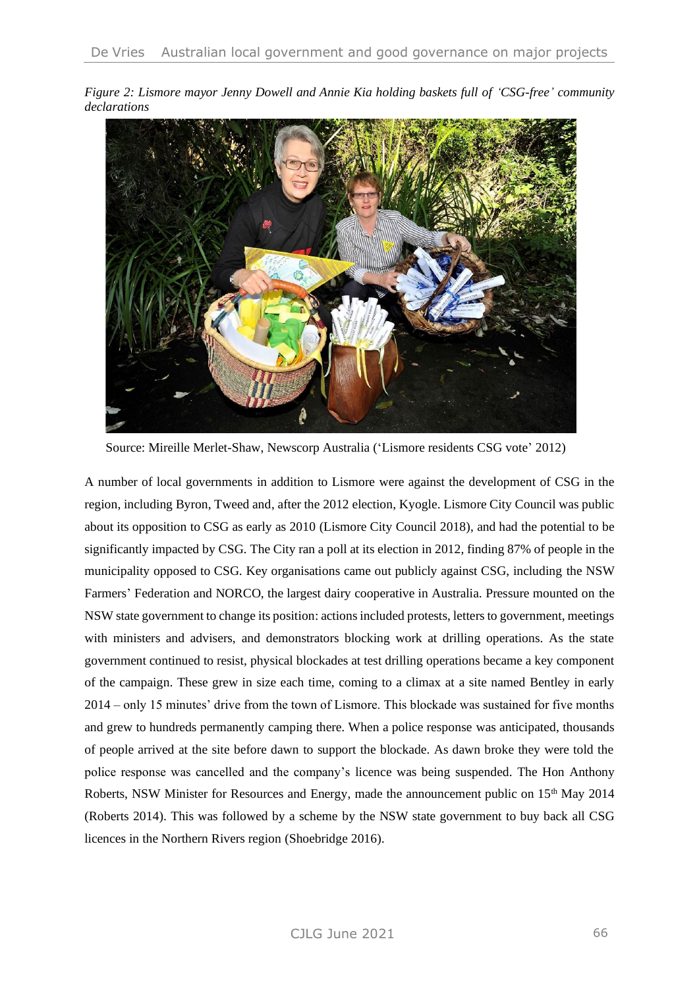*Figure 2: Lismore mayor Jenny Dowell and Annie Kia holding baskets full of 'CSG-free' community declarations*



Source: Mireille Merlet-Shaw, Newscorp Australia ('Lismore residents CSG vote' 2012)

A number of local governments in addition to Lismore were against the development of CSG in the region, including Byron, Tweed and, after the 2012 election, Kyogle. Lismore City Council was public about its opposition to CSG as early as 2010 (Lismore City Council 2018), and had the potential to be significantly impacted by CSG. The City ran a poll at its election in 2012, finding 87% of people in the municipality opposed to CSG. Key organisations came out publicly against CSG, including the NSW Farmers' Federation and NORCO, the largest dairy cooperative in Australia. Pressure mounted on the NSW state government to change its position: actions included protests, letters to government, meetings with ministers and advisers, and demonstrators blocking work at drilling operations. As the state government continued to resist, physical blockades at test drilling operations became a key component of the campaign. These grew in size each time, coming to a climax at a site named Bentley in early 2014 – only 15 minutes' drive from the town of Lismore. This blockade was sustained for five months and grew to hundreds permanently camping there. When a police response was anticipated, thousands of people arrived at the site before dawn to support the blockade. As dawn broke they were told the police response was cancelled and the company's licence was being suspended. The Hon Anthony Roberts, NSW Minister for Resources and Energy, made the announcement public on  $15<sup>th</sup>$  May 2014 (Roberts 2014). This was followed by a scheme by the NSW state government to buy back all CSG licences in the Northern Rivers region (Shoebridge 2016).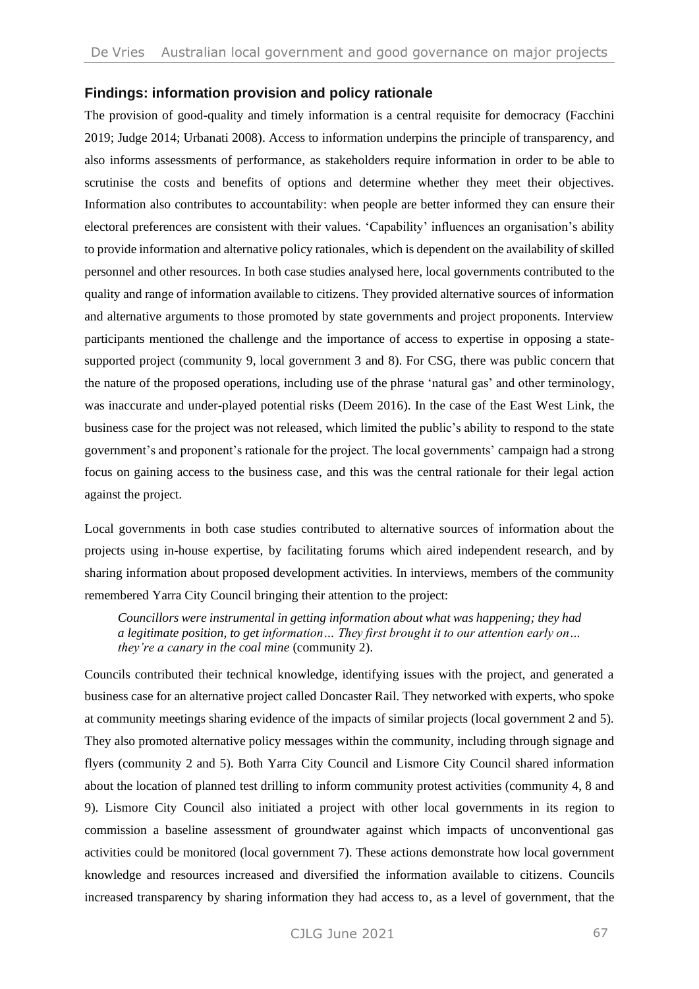#### **Findings: information provision and policy rationale**

The provision of good-quality and timely information is a central requisite for democracy (Facchini 2019; Judge 2014; Urbanati 2008). Access to information underpins the principle of transparency, and also informs assessments of performance, as stakeholders require information in order to be able to scrutinise the costs and benefits of options and determine whether they meet their objectives. Information also contributes to accountability: when people are better informed they can ensure their electoral preferences are consistent with their values. 'Capability' influences an organisation's ability to provide information and alternative policy rationales, which is dependent on the availability of skilled personnel and other resources. In both case studies analysed here, local governments contributed to the quality and range of information available to citizens. They provided alternative sources of information and alternative arguments to those promoted by state governments and project proponents. Interview participants mentioned the challenge and the importance of access to expertise in opposing a statesupported project (community 9, local government 3 and 8). For CSG, there was public concern that the nature of the proposed operations, including use of the phrase 'natural gas' and other terminology, was inaccurate and under-played potential risks (Deem 2016). In the case of the East West Link, the business case for the project was not released, which limited the public's ability to respond to the state government's and proponent's rationale for the project. The local governments' campaign had a strong focus on gaining access to the business case, and this was the central rationale for their legal action against the project.

Local governments in both case studies contributed to alternative sources of information about the projects using in-house expertise, by facilitating forums which aired independent research, and by sharing information about proposed development activities. In interviews, members of the community remembered Yarra City Council bringing their attention to the project:

*Councillors were instrumental in getting information about what was happening; they had a legitimate position, to get information… They first brought it to our attention early on… they're a canary in the coal mine* (community 2).

Councils contributed their technical knowledge, identifying issues with the project, and generated a business case for an alternative project called Doncaster Rail. They networked with experts, who spoke at community meetings sharing evidence of the impacts of similar projects (local government 2 and 5). They also promoted alternative policy messages within the community, including through signage and flyers (community 2 and 5). Both Yarra City Council and Lismore City Council shared information about the location of planned test drilling to inform community protest activities (community 4, 8 and 9). Lismore City Council also initiated a project with other local governments in its region to commission a baseline assessment of groundwater against which impacts of unconventional gas activities could be monitored (local government 7). These actions demonstrate how local government knowledge and resources increased and diversified the information available to citizens. Councils increased transparency by sharing information they had access to, as a level of government, that the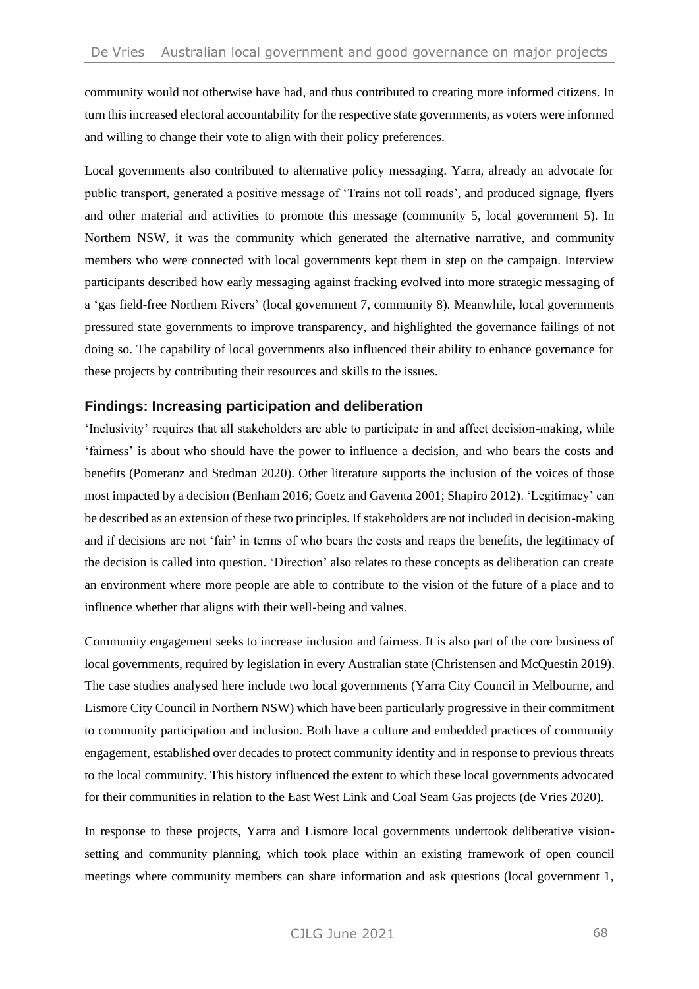community would not otherwise have had, and thus contributed to creating more informed citizens. In turn this increased electoral accountability for the respective state governments, as voters were informed and willing to change their vote to align with their policy preferences.

Local governments also contributed to alternative policy messaging. Yarra, already an advocate for public transport, generated a positive message of 'Trains not toll roads', and produced signage, flyers and other material and activities to promote this message (community 5, local government 5). In Northern NSW, it was the community which generated the alternative narrative, and community members who were connected with local governments kept them in step on the campaign. Interview participants described how early messaging against fracking evolved into more strategic messaging of a 'gas field-free Northern Rivers' (local government 7, community 8). Meanwhile, local governments pressured state governments to improve transparency, and highlighted the governance failings of not doing so. The capability of local governments also influenced their ability to enhance governance for these projects by contributing their resources and skills to the issues.

#### **Findings: Increasing participation and deliberation**

'Inclusivity' requires that all stakeholders are able to participate in and affect decision-making, while 'fairness' is about who should have the power to influence a decision, and who bears the costs and benefits (Pomeranz and Stedman 2020). Other literature supports the inclusion of the voices of those most impacted by a decision (Benham 2016; Goetz and Gaventa 2001; Shapiro 2012). 'Legitimacy' can be described as an extension of these two principles. If stakeholders are not included in decision-making and if decisions are not 'fair' in terms of who bears the costs and reaps the benefits, the legitimacy of the decision is called into question. 'Direction' also relates to these concepts as deliberation can create an environment where more people are able to contribute to the vision of the future of a place and to influence whether that aligns with their well-being and values.

Community engagement seeks to increase inclusion and fairness. It is also part of the core business of local governments, required by legislation in every Australian state (Christensen and McQuestin 2019). The case studies analysed here include two local governments (Yarra City Council in Melbourne, and Lismore City Council in Northern NSW) which have been particularly progressive in their commitment to community participation and inclusion. Both have a culture and embedded practices of community engagement, established over decades to protect community identity and in response to previous threats to the local community. This history influenced the extent to which these local governments advocated for their communities in relation to the East West Link and Coal Seam Gas projects (de Vries 2020).

In response to these projects, Yarra and Lismore local governments undertook deliberative visionsetting and community planning, which took place within an existing framework of open council meetings where community members can share information and ask questions (local government 1,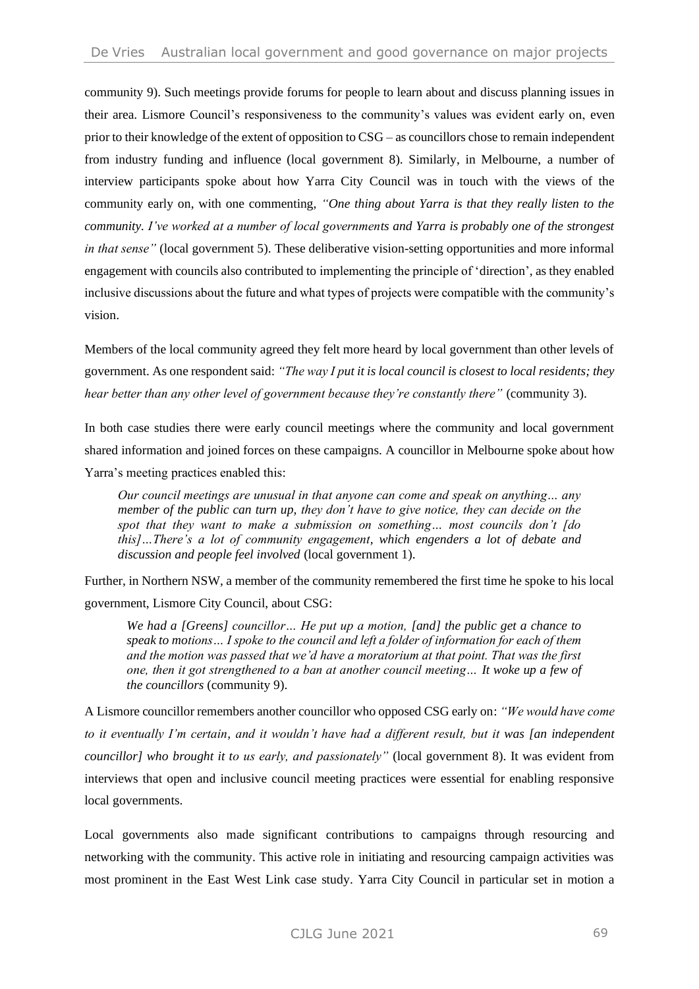community 9). Such meetings provide forums for people to learn about and discuss planning issues in their area. Lismore Council's responsiveness to the community's values was evident early on, even prior to their knowledge of the extent of opposition to CSG – as councillors chose to remain independent from industry funding and influence (local government 8). Similarly, in Melbourne, a number of interview participants spoke about how Yarra City Council was in touch with the views of the community early on, with one commenting, *"One thing about Yarra is that they really listen to the community. I've worked at a number of local governments and Yarra is probably one of the strongest in that sense"* (local government 5). These deliberative vision-setting opportunities and more informal engagement with councils also contributed to implementing the principle of 'direction', as they enabled inclusive discussions about the future and what types of projects were compatible with the community's vision.

Members of the local community agreed they felt more heard by local government than other levels of government. As one respondent said: *"The way I put it is local council is closest to local residents; they hear better than any other level of government because they're constantly there"* (community 3).

In both case studies there were early council meetings where the community and local government shared information and joined forces on these campaigns. A councillor in Melbourne spoke about how Yarra's meeting practices enabled this:

*Our council meetings are unusual in that anyone can come and speak on anything… any member of the public can turn up, they don't have to give notice, they can decide on the spot that they want to make a submission on something… most councils don't [do this]…There's a lot of community engagement, which engenders a lot of debate and discussion and people feel involved* (local government 1).

Further, in Northern NSW, a member of the community remembered the first time he spoke to his local government, Lismore City Council, about CSG:

*We had a [Greens] councillor… He put up a motion, [and] the public get a chance to speak to motions… I spoke to the council and left a folder of information for each of them and the motion was passed that we'd have a moratorium at that point. That was the first one, then it got strengthened to a ban at another council meeting… It woke up a few of the councillors* (community 9).

A Lismore councillor remembers another councillor who opposed CSG early on: *"We would have come to it eventually I'm certain, and it wouldn't have had a different result, but it was [an independent councillor] who brought it to us early, and passionately"* (local government 8). It was evident from interviews that open and inclusive council meeting practices were essential for enabling responsive local governments.

Local governments also made significant contributions to campaigns through resourcing and networking with the community. This active role in initiating and resourcing campaign activities was most prominent in the East West Link case study. Yarra City Council in particular set in motion a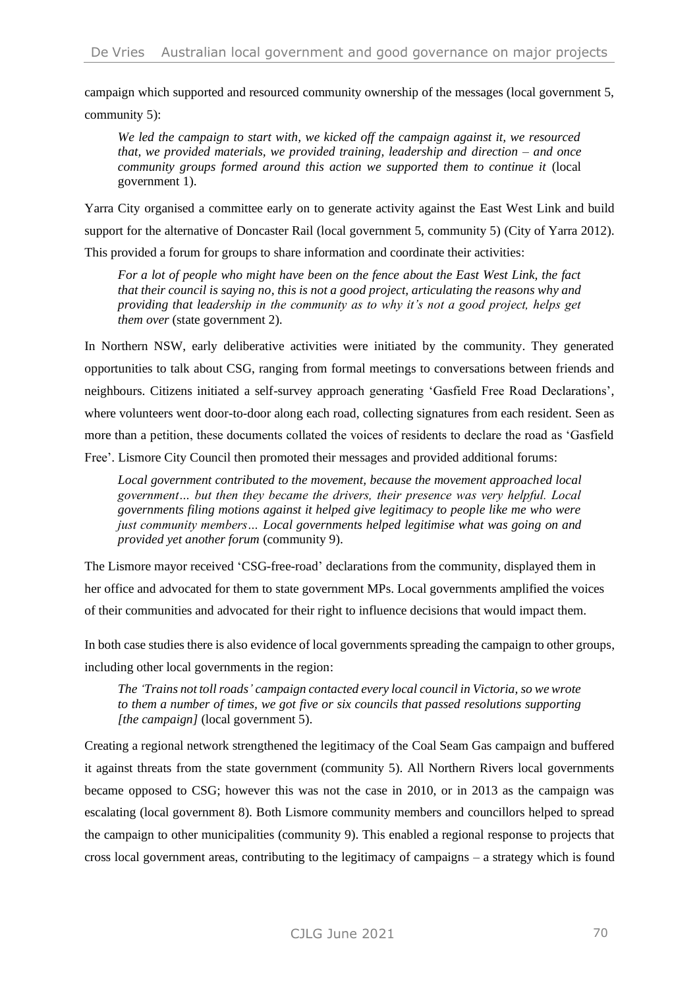campaign which supported and resourced community ownership of the messages (local government 5, community 5):

*We led the campaign to start with, we kicked off the campaign against it, we resourced that, we provided materials, we provided training, leadership and direction – and once community groups formed around this action we supported them to continue it* (local government 1).

Yarra City organised a committee early on to generate activity against the East West Link and build support for the alternative of Doncaster Rail (local government 5, community 5) (City of Yarra 2012). This provided a forum for groups to share information and coordinate their activities:

*For a lot of people who might have been on the fence about the East West Link, the fact that their council is saying no, this is not a good project, articulating the reasons why and providing that leadership in the community as to why it's not a good project, helps get them over* (state government 2).

In Northern NSW, early deliberative activities were initiated by the community. They generated opportunities to talk about CSG, ranging from formal meetings to conversations between friends and neighbours. Citizens initiated a self-survey approach generating 'Gasfield Free Road Declarations', where volunteers went door-to-door along each road, collecting signatures from each resident. Seen as more than a petition, these documents collated the voices of residents to declare the road as 'Gasfield Free'. Lismore City Council then promoted their messages and provided additional forums:

*Local government contributed to the movement, because the movement approached local government… but then they became the drivers, their presence was very helpful. Local governments filing motions against it helped give legitimacy to people like me who were just community members… Local governments helped legitimise what was going on and provided yet another forum* (community 9).

The Lismore mayor received 'CSG-free-road' declarations from the community, displayed them in her office and advocated for them to state government MPs. Local governments amplified the voices of their communities and advocated for their right to influence decisions that would impact them.

In both case studies there is also evidence of local governments spreading the campaign to other groups, including other local governments in the region:

*The 'Trains not toll roads' campaign contacted every local council in Victoria, so we wrote to them a number of times, we got five or six councils that passed resolutions supporting [the campaign]* (local government 5).

Creating a regional network strengthened the legitimacy of the Coal Seam Gas campaign and buffered it against threats from the state government (community 5). All Northern Rivers local governments became opposed to CSG; however this was not the case in 2010, or in 2013 as the campaign was escalating (local government 8). Both Lismore community members and councillors helped to spread the campaign to other municipalities (community 9). This enabled a regional response to projects that cross local government areas, contributing to the legitimacy of campaigns – a strategy which is found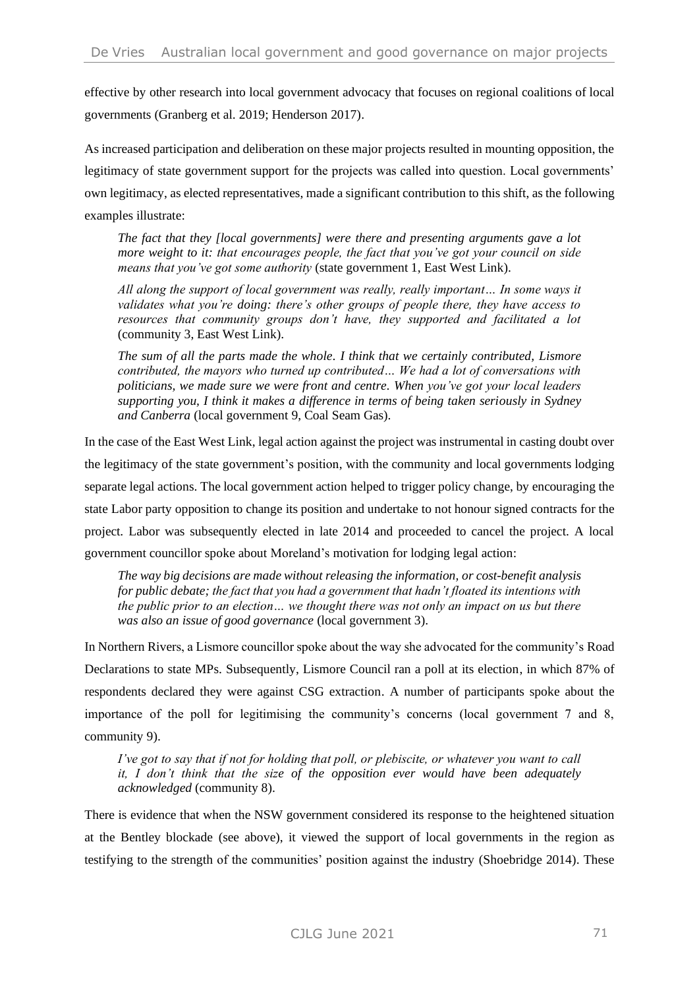effective by other research into local government advocacy that focuses on regional coalitions of local governments (Granberg et al. 2019; Henderson 2017).

As increased participation and deliberation on these major projects resulted in mounting opposition, the legitimacy of state government support for the projects was called into question. Local governments' own legitimacy, as elected representatives, made a significant contribution to this shift, as the following examples illustrate:

*The fact that they [local governments] were there and presenting arguments gave a lot more weight to it: that encourages people, the fact that you've got your council on side means that you've got some authority* (state government 1, East West Link).

*All along the support of local government was really, really important… In some ways it validates what you're doing: there's other groups of people there, they have access to resources that community groups don't have, they supported and facilitated a lot*  (community 3, East West Link).

*The sum of all the parts made the whole. I think that we certainly contributed, Lismore contributed, the mayors who turned up contributed… We had a lot of conversations with politicians, we made sure we were front and centre. When you've got your local leaders supporting you, I think it makes a difference in terms of being taken seriously in Sydney and Canberra* (local government 9, Coal Seam Gas).

In the case of the East West Link, legal action against the project was instrumental in casting doubt over the legitimacy of the state government's position, with the community and local governments lodging separate legal actions. The local government action helped to trigger policy change, by encouraging the state Labor party opposition to change its position and undertake to not honour signed contracts for the project. Labor was subsequently elected in late 2014 and proceeded to cancel the project. A local government councillor spoke about Moreland's motivation for lodging legal action:

*The way big decisions are made without releasing the information, or cost-benefit analysis for public debate; the fact that you had a government that hadn't floated its intentions with the public prior to an election… we thought there was not only an impact on us but there was also an issue of good governance* (local government 3).

In Northern Rivers, a Lismore councillor spoke about the way she advocated for the community's Road Declarations to state MPs. Subsequently, Lismore Council ran a poll at its election, in which 87% of respondents declared they were against CSG extraction. A number of participants spoke about the importance of the poll for legitimising the community's concerns (local government 7 and 8, community 9).

*I've got to say that if not for holding that poll, or plebiscite, or whatever you want to call it, I don't think that the size of the opposition ever would have been adequately acknowledged* (community 8).

There is evidence that when the NSW government considered its response to the heightened situation at the Bentley blockade (see above), it viewed the support of local governments in the region as testifying to the strength of the communities' position against the industry (Shoebridge 2014). These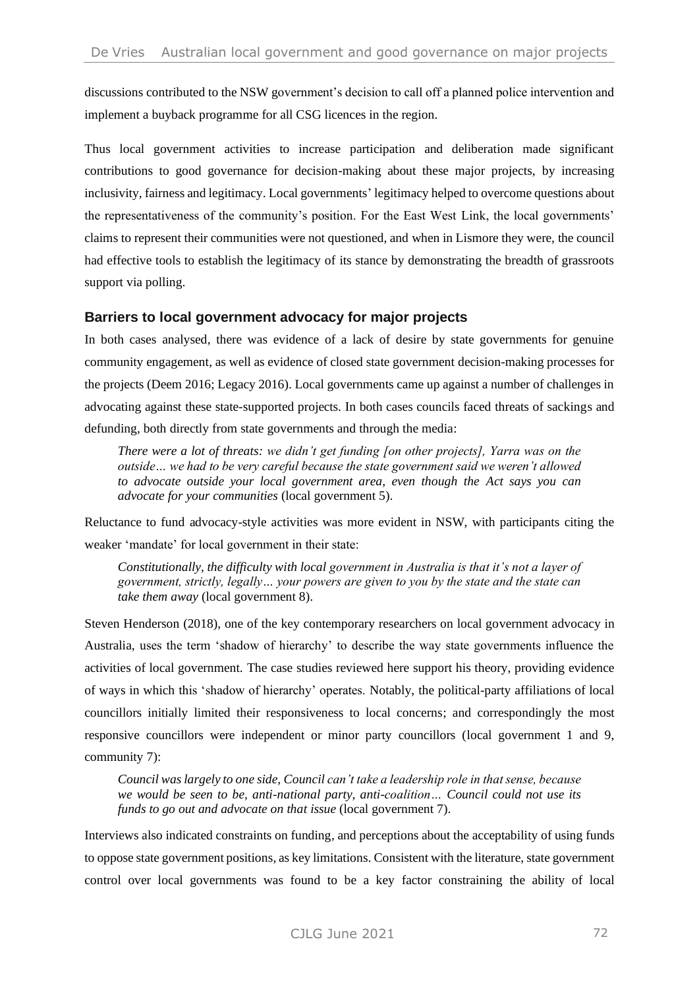discussions contributed to the NSW government's decision to call off a planned police intervention and implement a buyback programme for all CSG licences in the region.

Thus local government activities to increase participation and deliberation made significant contributions to good governance for decision-making about these major projects, by increasing inclusivity, fairness and legitimacy. Local governments' legitimacy helped to overcome questions about the representativeness of the community's position. For the East West Link, the local governments' claims to represent their communities were not questioned, and when in Lismore they were, the council had effective tools to establish the legitimacy of its stance by demonstrating the breadth of grassroots support via polling.

### **Barriers to local government advocacy for major projects**

In both cases analysed, there was evidence of a lack of desire by state governments for genuine community engagement, as well as evidence of closed state government decision-making processes for the projects (Deem 2016; Legacy 2016). Local governments came up against a number of challenges in advocating against these state-supported projects. In both cases councils faced threats of sackings and defunding, both directly from state governments and through the media:

*There were a lot of threats: we didn't get funding [on other projects], Yarra was on the outside… we had to be very careful because the state government said we weren't allowed to advocate outside your local government area, even though the Act says you can advocate for your communities* (local government 5).

Reluctance to fund advocacy-style activities was more evident in NSW, with participants citing the weaker 'mandate' for local government in their state:

*Constitutionally, the difficulty with local government in Australia is that it's not a layer of government, strictly, legally… your powers are given to you by the state and the state can take them away* (local government 8).

Steven Henderson (2018), one of the key contemporary researchers on local government advocacy in Australia, uses the term 'shadow of hierarchy' to describe the way state governments influence the activities of local government. The case studies reviewed here support his theory, providing evidence of ways in which this 'shadow of hierarchy' operates. Notably, the political-party affiliations of local councillors initially limited their responsiveness to local concerns; and correspondingly the most responsive councillors were independent or minor party councillors (local government 1 and 9, community 7):

*Council was largely to one side, Council can't take a leadership role in that sense, because we would be seen to be, anti-national party, anti-coalition… Council could not use its funds to go out and advocate on that issue* (local government 7).

Interviews also indicated constraints on funding, and perceptions about the acceptability of using funds to oppose state government positions, as key limitations. Consistent with the literature, state government control over local governments was found to be a key factor constraining the ability of local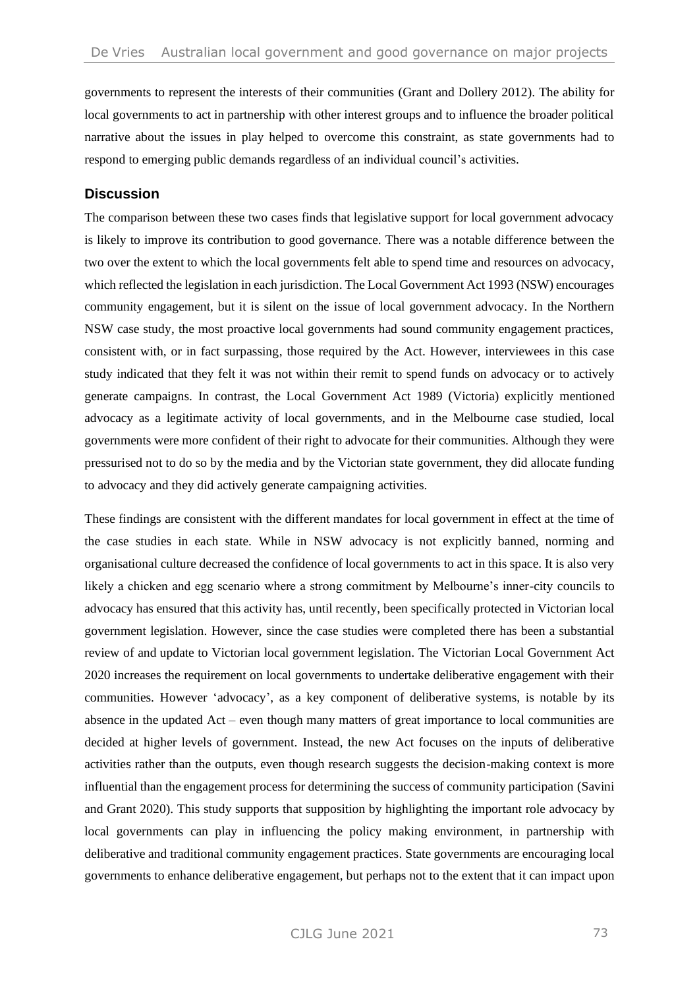governments to represent the interests of their communities (Grant and Dollery 2012). The ability for local governments to act in partnership with other interest groups and to influence the broader political narrative about the issues in play helped to overcome this constraint, as state governments had to respond to emerging public demands regardless of an individual council's activities.

#### **Discussion**

The comparison between these two cases finds that legislative support for local government advocacy is likely to improve its contribution to good governance. There was a notable difference between the two over the extent to which the local governments felt able to spend time and resources on advocacy, which reflected the legislation in each jurisdiction. The Local Government Act 1993 (NSW) encourages community engagement, but it is silent on the issue of local government advocacy. In the Northern NSW case study, the most proactive local governments had sound community engagement practices, consistent with, or in fact surpassing, those required by the Act. However, interviewees in this case study indicated that they felt it was not within their remit to spend funds on advocacy or to actively generate campaigns. In contrast, the Local Government Act 1989 (Victoria) explicitly mentioned advocacy as a legitimate activity of local governments, and in the Melbourne case studied, local governments were more confident of their right to advocate for their communities. Although they were pressurised not to do so by the media and by the Victorian state government, they did allocate funding to advocacy and they did actively generate campaigning activities.

These findings are consistent with the different mandates for local government in effect at the time of the case studies in each state. While in NSW advocacy is not explicitly banned, norming and organisational culture decreased the confidence of local governments to act in this space. It is also very likely a chicken and egg scenario where a strong commitment by Melbourne's inner-city councils to advocacy has ensured that this activity has, until recently, been specifically protected in Victorian local government legislation. However, since the case studies were completed there has been a substantial review of and update to Victorian local government legislation. The Victorian Local Government Act 2020 increases the requirement on local governments to undertake deliberative engagement with their communities. However 'advocacy', as a key component of deliberative systems, is notable by its absence in the updated Act – even though many matters of great importance to local communities are decided at higher levels of government. Instead, the new Act focuses on the inputs of deliberative activities rather than the outputs, even though research suggests the decision-making context is more influential than the engagement process for determining the success of community participation (Savini and Grant 2020). This study supports that supposition by highlighting the important role advocacy by local governments can play in influencing the policy making environment, in partnership with deliberative and traditional community engagement practices. State governments are encouraging local governments to enhance deliberative engagement, but perhaps not to the extent that it can impact upon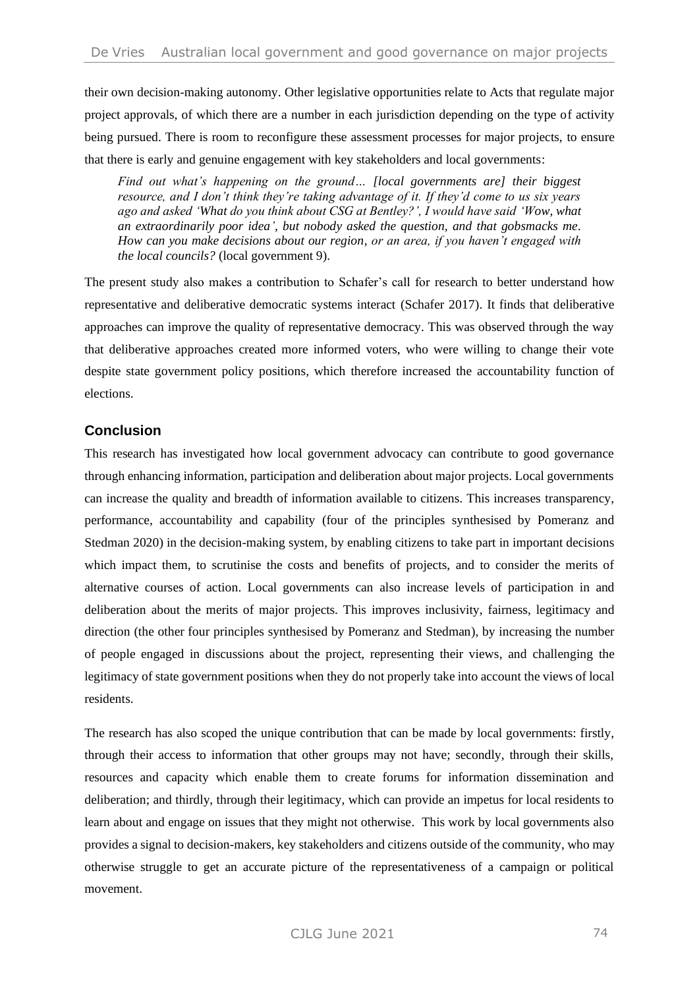their own decision-making autonomy. Other legislative opportunities relate to Acts that regulate major project approvals, of which there are a number in each jurisdiction depending on the type of activity being pursued. There is room to reconfigure these assessment processes for major projects, to ensure that there is early and genuine engagement with key stakeholders and local governments:

*Find out what's happening on the ground… [local governments are] their biggest resource, and I don't think they're taking advantage of it. If they'd come to us six years ago and asked 'What do you think about CSG at Bentley?', I would have said 'Wow, what an extraordinarily poor idea', but nobody asked the question, and that gobsmacks me. How can you make decisions about our region, or an area, if you haven't engaged with the local councils?* (local government 9).

The present study also makes a contribution to Schafer's call for research to better understand how representative and deliberative democratic systems interact (Schafer 2017). It finds that deliberative approaches can improve the quality of representative democracy. This was observed through the way that deliberative approaches created more informed voters, who were willing to change their vote despite state government policy positions, which therefore increased the accountability function of elections.

### **Conclusion**

This research has investigated how local government advocacy can contribute to good governance through enhancing information, participation and deliberation about major projects. Local governments can increase the quality and breadth of information available to citizens. This increases transparency, performance, accountability and capability (four of the principles synthesised by Pomeranz and Stedman 2020) in the decision-making system, by enabling citizens to take part in important decisions which impact them, to scrutinise the costs and benefits of projects, and to consider the merits of alternative courses of action. Local governments can also increase levels of participation in and deliberation about the merits of major projects. This improves inclusivity, fairness, legitimacy and direction (the other four principles synthesised by Pomeranz and Stedman), by increasing the number of people engaged in discussions about the project, representing their views, and challenging the legitimacy of state government positions when they do not properly take into account the views of local residents.

The research has also scoped the unique contribution that can be made by local governments: firstly, through their access to information that other groups may not have; secondly, through their skills, resources and capacity which enable them to create forums for information dissemination and deliberation; and thirdly, through their legitimacy, which can provide an impetus for local residents to learn about and engage on issues that they might not otherwise. This work by local governments also provides a signal to decision-makers, key stakeholders and citizens outside of the community, who may otherwise struggle to get an accurate picture of the representativeness of a campaign or political movement.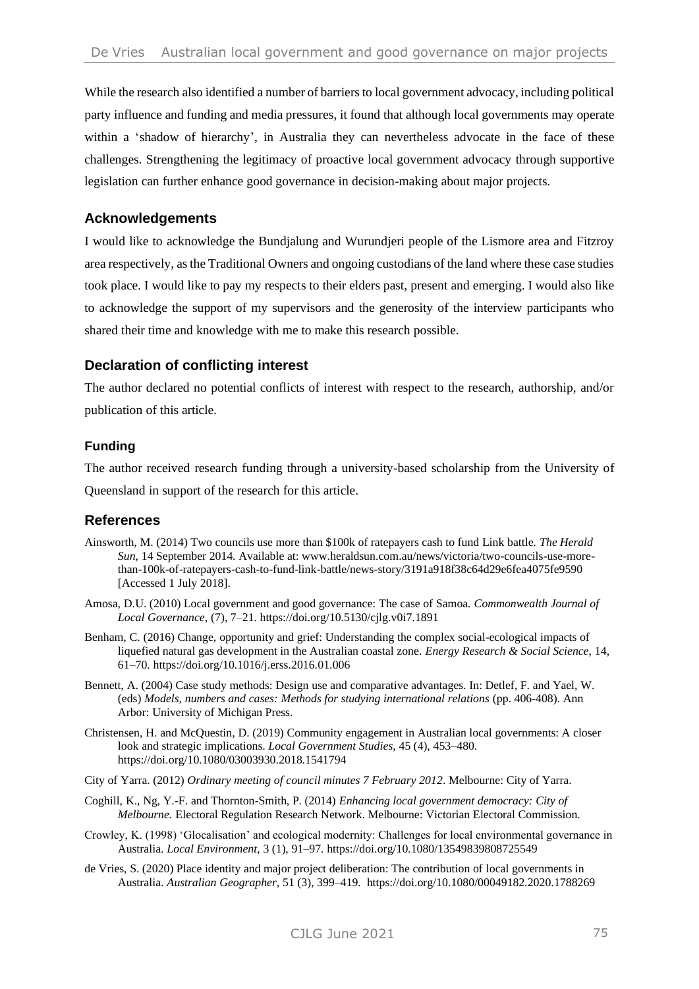While the research also identified a number of barriers to local government advocacy, including political party influence and funding and media pressures, it found that although local governments may operate within a 'shadow of hierarchy', in Australia they can nevertheless advocate in the face of these challenges. Strengthening the legitimacy of proactive local government advocacy through supportive legislation can further enhance good governance in decision-making about major projects.

### **Acknowledgements**

I would like to acknowledge the Bundjalung and Wurundjeri people of the Lismore area and Fitzroy area respectively, as the Traditional Owners and ongoing custodians of the land where these case studies took place. I would like to pay my respects to their elders past, present and emerging. I would also like to acknowledge the support of my supervisors and the generosity of the interview participants who shared their time and knowledge with me to make this research possible.

### **Declaration of conflicting interest**

The author declared no potential conflicts of interest with respect to the research, authorship, and/or publication of this article.

#### **Funding**

The author received research funding through a university-based scholarship from the University of Queensland in support of the research for this article.

### **References**

- Ainsworth, M. (2014) Two councils use more than \$100k of ratepayers cash to fund Link battle. *The Herald Sun*, 14 September 2014. Available at: www.heraldsun.com.au/news/victoria/two-councils-use-morethan-100k-of-ratepayers-cash-to-fund-link-battle/news-story/3191a918f38c64d29e6fea4075fe9590 [Accessed 1 July 2018].
- Amosa, D.U. (2010) Local government and good governance: The case of Samoa. *Commonwealth Journal of Local Governance*, (7), 7–21. https://doi.org/10.5130/cjlg.v0i7.1891
- Benham, C. (2016) Change, opportunity and grief: Understanding the complex social-ecological impacts of liquefied natural gas development in the Australian coastal zone. *Energy Research & Social Science*, 14, 61–70. https://doi.org/10.1016/j.erss.2016.01.006
- Bennett, A. (2004) Case study methods: Design use and comparative advantages. In: Detlef, F. and Yael, W. (eds) *Models, numbers and cases: Methods for studying international relations* (pp. 406-408). Ann Arbor: University of Michigan Press.
- Christensen, H. and McQuestin, D. (2019) Community engagement in Australian local governments: A closer look and strategic implications. *Local Government Studies*, 45 (4), 453–480. https://doi.org/10.1080/03003930.2018.1541794
- City of Yarra. (2012) *Ordinary meeting of council minutes 7 February 2012*. Melbourne: City of Yarra.
- Coghill, K., Ng, Y.-F. and Thornton-Smith, P. (2014) *Enhancing local government democracy: City of Melbourne.* Electoral Regulation Research Network. Melbourne: Victorian Electoral Commission.
- Crowley, K. (1998) 'Glocalisation' and ecological modernity: Challenges for local environmental governance in Australia. *Local Environment*, 3 (1), 91–97. https://doi.org/10.1080/13549839808725549
- de Vries, S. (2020) Place identity and major project deliberation: The contribution of local governments in Australia. *Australian Geographer,* 51 (3), 399–419. https://doi.org/10.1080/00049182.2020.1788269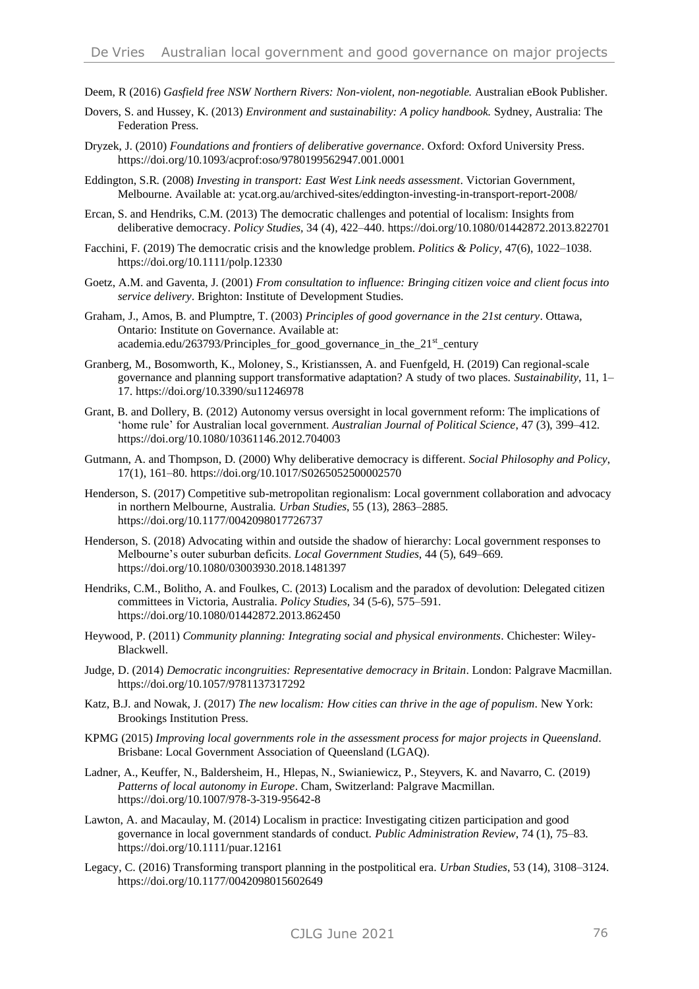- Deem, R (2016) *Gasfield free NSW Northern Rivers: Non-violent, non-negotiable.* Australian eBook Publisher.
- Dovers, S. and Hussey, K. (2013) *Environment and sustainability: A policy handbook.* Sydney, Australia: The Federation Press.
- Dryzek, J. (2010) *Foundations and frontiers of deliberative governance*. Oxford: Oxford University Press. https://doi.org/10.1093/acprof:oso/9780199562947.001.0001
- Eddington, S.R. (2008) *Investing in transport: East West Link needs assessment*. Victorian Government, Melbourne. Available at: ycat.org.au/archived-sites/eddington-investing-in-transport-report-2008/
- Ercan, S. and Hendriks, C.M. (2013) The democratic challenges and potential of localism: Insights from deliberative democracy. *Policy Studies,* 34 (4), 422–440. https://doi.org/10.1080/01442872.2013.822701
- Facchini, F. (2019) The democratic crisis and the knowledge problem. *Politics & Policy*, 47(6), 1022–1038. https://doi.org/10.1111/polp.12330
- Goetz, A.M. and Gaventa, J. (2001) *From consultation to influence: Bringing citizen voice and client focus into service delivery*. Brighton: Institute of Development Studies.
- Graham, J., Amos, B. and Plumptre, T. (2003) *Principles of good governance in the 21st century*. Ottawa, Ontario: Institute on Governance. Available at: academia.edu/263793/Principles for good governance in the  $21<sup>st</sup>$  century
- Granberg, M., Bosomworth, K., Moloney, S., Kristianssen, A. and Fuenfgeld, H. (2019) Can regional-scale governance and planning support transformative adaptation? A study of two places. *Sustainability*, 11, 1– 17. https://doi.org/10.3390/su11246978
- Grant, B. and Dollery, B. (2012) Autonomy versus oversight in local government reform: The implications of 'home rule' for Australian local government. *Australian Journal of Political Science*, 47 (3), 399–412. https://doi.org/10.1080/10361146.2012.704003
- Gutmann, A. and Thompson, D. (2000) Why deliberative democracy is different. *Social Philosophy and Policy*, 17(1), 161–80. https://doi.org/10.1017/S0265052500002570
- Henderson, S. (2017) Competitive sub-metropolitan regionalism: Local government collaboration and advocacy in northern Melbourne, Australia. *Urban Studies*, 55 (13), 2863–2885. https://doi.org/10.1177/0042098017726737
- Henderson, S. (2018) Advocating within and outside the shadow of hierarchy: Local government responses to Melbourne's outer suburban deficits. *Local Government Studies*, 44 (5), 649–669. https://doi.org/10.1080/03003930.2018.1481397
- Hendriks, C.M., Bolitho, A. and Foulkes, C. (2013) Localism and the paradox of devolution: Delegated citizen committees in Victoria, Australia. *Policy Studies*, 34 (5-6), 575–591. https://doi.org/10.1080/01442872.2013.862450
- Heywood, P. (2011) *Community planning: Integrating social and physical environments*. Chichester: Wiley-Blackwell.
- Judge, D. (2014) *Democratic incongruities: Representative democracy in Britain*. London: Palgrave Macmillan. https://doi.org/10.1057/9781137317292
- Katz, B.J. and Nowak, J. (2017) *The new localism: How cities can thrive in the age of populism*. New York: Brookings Institution Press.
- KPMG (2015) *Improving local governments role in the assessment process for major projects in Queensland*. Brisbane: Local Government Association of Queensland (LGAQ).
- Ladner, A., Keuffer, N., Baldersheim, H., Hlepas, N., Swianiewicz, P., Steyvers, K. and Navarro, C. (2019) *Patterns of local autonomy in Europe*. Cham, Switzerland: Palgrave Macmillan. https://doi.org/10.1007/978-3-319-95642-8
- Lawton, A. and Macaulay, M. (2014) Localism in practice: Investigating citizen participation and good governance in local government standards of conduct. *Public Administration Review*, 74 (1), 75–83. https://doi.org/10.1111/puar.12161
- Legacy, C. (2016) Transforming transport planning in the postpolitical era. *Urban Studies*, 53 (14), 3108–3124. https://doi.org/10.1177/0042098015602649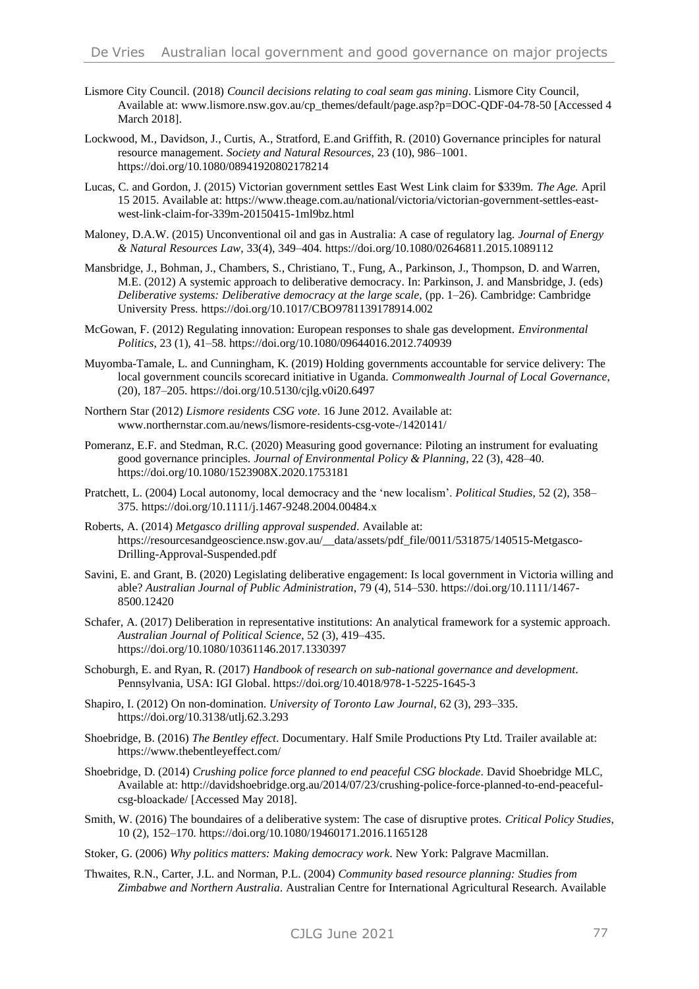- Lismore City Council. (2018) *Council decisions relating to coal seam gas mining*. Lismore City Council, Available at: www.lismore.nsw.gov.au/cp\_themes/default/page.asp?p=DOC-QDF-04-78-50 [Accessed 4 March 2018].
- Lockwood, M., Davidson, J., Curtis, A., Stratford, E.and Griffith, R. (2010) Governance principles for natural resource management. *Society and Natural Resources*, 23 (10), 986–1001. https://doi.org/10.1080/08941920802178214
- Lucas, C. and Gordon, J. (2015) Victorian government settles East West Link claim for \$339m. *The Age.* April 15 2015. Available at: https://www.theage.com.au/national/victoria/victorian-government-settles-eastwest-link-claim-for-339m-20150415-1ml9bz.html
- Maloney, D.A.W. (2015) Unconventional oil and gas in Australia: A case of regulatory lag. *Journal of Energy & Natural Resources Law*, 33(4), 349–404. https://doi.org/10.1080/02646811.2015.1089112
- Mansbridge, J., Bohman, J., Chambers, S., Christiano, T., Fung, A., Parkinson, J., Thompson, D. and Warren, M.E. (2012) A systemic approach to deliberative democracy. In: Parkinson, J. and Mansbridge, J. (eds) *Deliberative systems: Deliberative democracy at the large scale,* (pp. 1–26). Cambridge: Cambridge University Press. https://doi.org/10.1017/CBO9781139178914.002
- McGowan, F. (2012) Regulating innovation: European responses to shale gas development. *Environmental Politics*, 23 (1), 41–58. https://doi.org/10.1080/09644016.2012.740939
- Muyomba-Tamale, L. and Cunningham, K. (2019) Holding governments accountable for service delivery: The local government councils scorecard initiative in Uganda. *Commonwealth Journal of Local Governance*, (20), 187–205. https://doi.org/10.5130/cjlg.v0i20.6497
- Northern Star (2012) *Lismore residents CSG vote*. 16 June 2012. Available at: www.northernstar.com.au/news/lismore-residents-csg-vote-/1420141/
- Pomeranz, E.F. and Stedman, R.C. (2020) Measuring good governance: Piloting an instrument for evaluating good governance principles. *Journal of Environmental Policy & Planning*, 22 (3), 428–40. https://doi.org/10.1080/1523908X.2020.1753181
- Pratchett, L. (2004) Local autonomy, local democracy and the 'new localism'. *Political Studies*, 52 (2), 358– 375. https://doi.org/10.1111/j.1467-9248.2004.00484.x
- Roberts, A. (2014) *Metgasco drilling approval suspended*. Available at: https://resourcesandgeoscience.nsw.gov.au/\_\_data/assets/pdf\_file/0011/531875/140515-Metgasco-Drilling-Approval-Suspended.pdf
- Savini, E. and Grant, B. (2020) Legislating deliberative engagement: Is local government in Victoria willing and able? *Australian Journal of Public Administration*, 79 (4), 514–530. https://doi.org/10.1111/1467- 8500.12420
- Schafer, A. (2017) Deliberation in representative institutions: An analytical framework for a systemic approach. *Australian Journal of Political Science*, 52 (3), 419–435. https://doi.org/10.1080/10361146.2017.1330397
- Schoburgh, E. and Ryan, R. (2017) *Handbook of research on sub-national governance and development*. Pennsylvania, USA: IGI Global. https://doi.org/10.4018/978-1-5225-1645-3
- Shapiro, I. (2012) On non-domination. *University of Toronto Law Journal*, 62 (3), 293–335. https://doi.org/10.3138/utlj.62.3.293
- Shoebridge, B. (2016) *The Bentley effect*. Documentary. Half Smile Productions Pty Ltd. Trailer available at: https://www.thebentleyeffect.com/
- Shoebridge, D. (2014) *Crushing police force planned to end peaceful CSG blockade*. David Shoebridge MLC, Available at: http://davidshoebridge.org.au/2014/07/23/crushing-police-force-planned-to-end-peacefulcsg-bloackade/ [Accessed May 2018].
- Smith, W. (2016) The boundaires of a deliberative system: The case of disruptive protes. *Critical Policy Studies*, 10 (2), 152–170. https://doi.org/10.1080/19460171.2016.1165128
- Stoker, G. (2006) *Why politics matters: Making democracy work*. New York: Palgrave Macmillan.
- Thwaites, R.N., Carter, J.L. and Norman, P.L. (2004) *Community based resource planning: Studies from Zimbabwe and Northern Australia*. Australian Centre for International Agricultural Research. Available